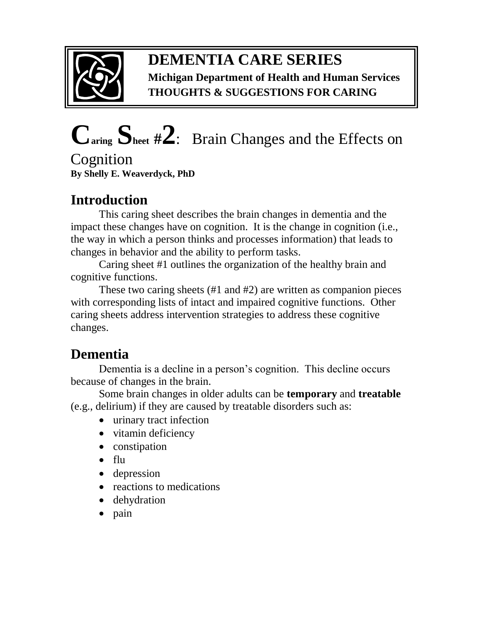

#### **DEMENTIA CARE SERIES Michigan Department of Health and Human Services THOUGHTS & SUGGESTIONS FOR CARING**

# **Caring Sheet #2**:Brain Changes and the Effects on

**Cognition By Shelly E. Weaverdyck, PhD** 

# **Introduction**

This caring sheet describes the brain changes in dementia and the impact these changes have on cognition. It is the change in cognition (i.e., the way in which a person thinks and processes information) that leads to changes in behavior and the ability to perform tasks.

Caring sheet #1 outlines the organization of the healthy brain and cognitive functions.

These two caring sheets (#1 and #2) are written as companion pieces with corresponding lists of intact and impaired cognitive functions. Other caring sheets address intervention strategies to address these cognitive changes.

# **Dementia**

Dementia is a decline in a person's cognition. This decline occurs because of changes in the brain.

Some brain changes in older adults can be **temporary** and **treatable** (e.g., delirium) if they are caused by treatable disorders such as:

- urinary tract infection
- vitamin deficiency
- constipation
- flu
- depression
- reactions to medications
- dehydration
- pain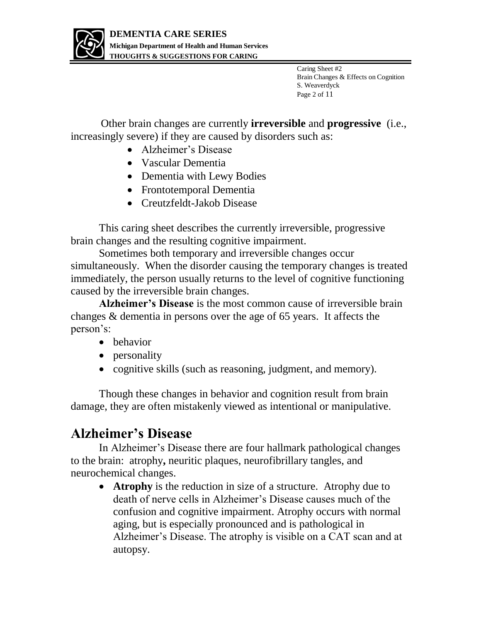

Caring Sheet #2 Brain Changes & Effects on Cognition S. Weaverdyck Page 2 of 11

Other brain changes are currently **irreversible** and **progressive** (i.e., increasingly severe) if they are caused by disorders such as:

- Alzheimer's Disease
- Vascular Dementia
- Dementia with Lewy Bodies
- Frontotemporal Dementia
- Creutzfeldt-Jakob Disease

This caring sheet describes the currently irreversible, progressive brain changes and the resulting cognitive impairment.

Sometimes both temporary and irreversible changes occur simultaneously. When the disorder causing the temporary changes is treated immediately, the person usually returns to the level of cognitive functioning caused by the irreversible brain changes.

**Alzheimer's Disease** is the most common cause of irreversible brain changes & dementia in persons over the age of 65 years. It affects the person's:

- behavior
- personality
- cognitive skills (such as reasoning, judgment, and memory).

Though these changes in behavior and cognition result from brain damage, they are often mistakenly viewed as intentional or manipulative.

#### **Alzheimer's Disease**

In Alzheimer's Disease there are four hallmark pathological changes to the brain: atrophy**,** neuritic plaques, neurofibrillary tangles, and neurochemical changes.

• **Atrophy** is the reduction in size of a structure. Atrophy due to death of nerve cells in Alzheimer's Disease causes much of the confusion and cognitive impairment. Atrophy occurs with normal aging, but is especially pronounced and is pathological in Alzheimer's Disease. The atrophy is visible on a CAT scan and at autopsy.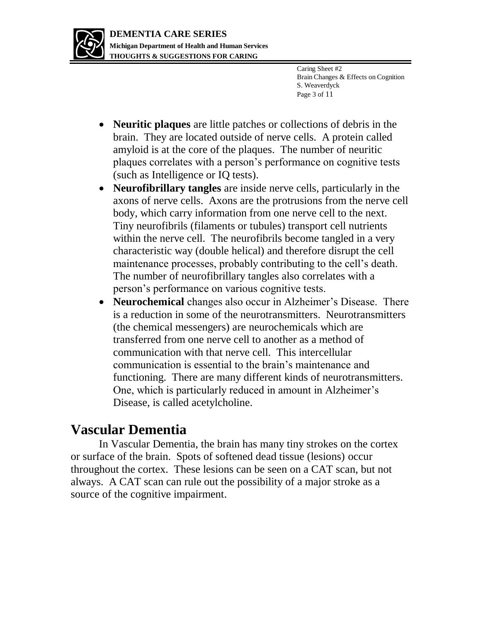

Caring Sheet #2 Brain Changes & Effects on Cognition S. Weaverdyck Page 3 of 11

- **Neuritic plaques** are little patches or collections of debris in the brain. They are located outside of nerve cells. A protein called amyloid is at the core of the plaques. The number of neuritic plaques correlates with a person's performance on cognitive tests (such as Intelligence or IQ tests).
- **Neurofibrillary tangles** are inside nerve cells, particularly in the axons of nerve cells. Axons are the protrusions from the nerve cell body, which carry information from one nerve cell to the next. Tiny neurofibrils (filaments or tubules) transport cell nutrients within the nerve cell. The neurofibrils become tangled in a very characteristic way (double helical) and therefore disrupt the cell maintenance processes, probably contributing to the cell's death. The number of neurofibrillary tangles also correlates with a person's performance on various cognitive tests.
- **Neurochemical** changes also occur in Alzheimer's Disease. There is a reduction in some of the neurotransmitters. Neurotransmitters (the chemical messengers) are neurochemicals which are transferred from one nerve cell to another as a method of communication with that nerve cell. This intercellular communication is essential to the brain's maintenance and functioning. There are many different kinds of neurotransmitters. One, which is particularly reduced in amount in Alzheimer's Disease, is called acetylcholine.

#### **Vascular Dementia**

In Vascular Dementia, the brain has many tiny strokes on the cortex or surface of the brain. Spots of softened dead tissue (lesions) occur throughout the cortex. These lesions can be seen on a CAT scan, but not always. A CAT scan can rule out the possibility of a major stroke as a source of the cognitive impairment.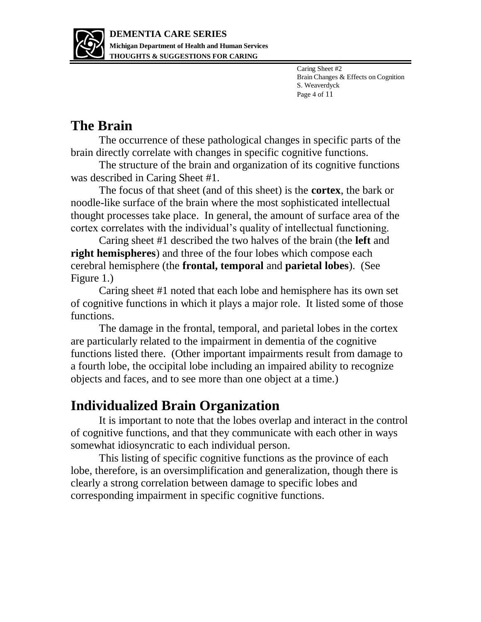

Caring Sheet #2 Brain Changes & Effects on Cognition S. Weaverdyck Page 4 of 11

# **The Brain**

The occurrence of these pathological changes in specific parts of the brain directly correlate with changes in specific cognitive functions.

The structure of the brain and organization of its cognitive functions was described in Caring Sheet #1.

The focus of that sheet (and of this sheet) is the **cortex**, the bark or noodle-like surface of the brain where the most sophisticated intellectual thought processes take place. In general, the amount of surface area of the cortex correlates with the individual's quality of intellectual functioning.

Caring sheet #1 described the two halves of the brain (the **left** and **right hemispheres**) and three of the four lobes which compose each cerebral hemisphere (the **frontal, temporal** and **parietal lobes**). (See Figure 1.)

Caring sheet #1 noted that each lobe and hemisphere has its own set of cognitive functions in which it plays a major role. It listed some of those functions.

The damage in the frontal, temporal, and parietal lobes in the cortex are particularly related to the impairment in dementia of the cognitive functions listed there. (Other important impairments result from damage to a fourth lobe, the occipital lobe including an impaired ability to recognize objects and faces, and to see more than one object at a time.)

# **Individualized Brain Organization**

It is important to note that the lobes overlap and interact in the control of cognitive functions, and that they communicate with each other in ways somewhat idiosyncratic to each individual person.

This listing of specific cognitive functions as the province of each lobe, therefore, is an oversimplification and generalization, though there is clearly a strong correlation between damage to specific lobes and corresponding impairment in specific cognitive functions.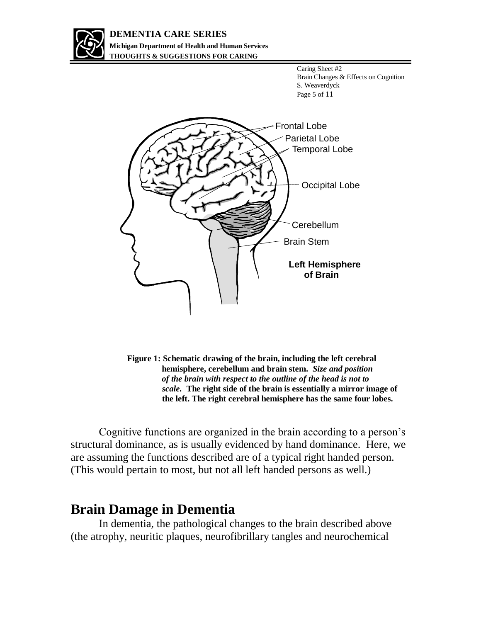

#### **DEMENTIA CARE SERIES Michigan Department of Health and Human Services THOUGHTS & SUGGESTIONS FOR CARING**

Caring Sheet #2 Brain Changes & Effects on Cognition S. Weaverdyck Page 5 of 11



**Figure 1: Schematic drawing of the brain, including the left cerebral hemisphere, cerebellum and brain stem.** *Size and position of the brain with respect to the outline of the head is not to scale.* **The right side of the brain is essentially a mirror image of the left. The right cerebral hemisphere has the same four lobes.** 

Cognitive functions are organized in the brain according to a person's structural dominance, as is usually evidenced by hand dominance. Here, we are assuming the functions described are of a typical right handed person. (This would pertain to most, but not all left handed persons as well.)

#### **Brain Damage in Dementia**

In dementia, the pathological changes to the brain described above (the atrophy, neuritic plaques, neurofibrillary tangles and neurochemical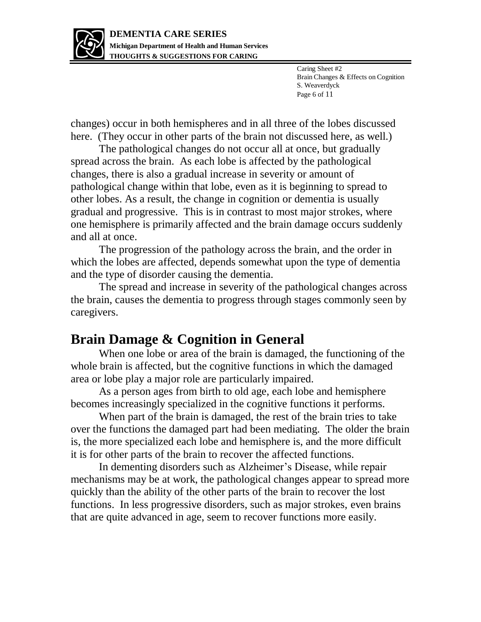

Caring Sheet #2 Brain Changes & Effects on Cognition S. Weaverdyck Page 6 of 11

changes) occur in both hemispheres and in all three of the lobes discussed here. (They occur in other parts of the brain not discussed here, as well.)

The pathological changes do not occur all at once, but gradually spread across the brain. As each lobe is affected by the pathological changes, there is also a gradual increase in severity or amount of pathological change within that lobe, even as it is beginning to spread to other lobes. As a result, the change in cognition or dementia is usually gradual and progressive. This is in contrast to most major strokes, where one hemisphere is primarily affected and the brain damage occurs suddenly and all at once.

The progression of the pathology across the brain, and the order in which the lobes are affected, depends somewhat upon the type of dementia and the type of disorder causing the dementia.

The spread and increase in severity of the pathological changes across the brain, causes the dementia to progress through stages commonly seen by caregivers.

#### **Brain Damage & Cognition in General**

When one lobe or area of the brain is damaged, the functioning of the whole brain is affected, but the cognitive functions in which the damaged area or lobe play a major role are particularly impaired.

As a person ages from birth to old age, each lobe and hemisphere becomes increasingly specialized in the cognitive functions it performs.

When part of the brain is damaged, the rest of the brain tries to take over the functions the damaged part had been mediating. The older the brain is, the more specialized each lobe and hemisphere is, and the more difficult it is for other parts of the brain to recover the affected functions.

In dementing disorders such as Alzheimer's Disease, while repair mechanisms may be at work, the pathological changes appear to spread more quickly than the ability of the other parts of the brain to recover the lost functions. In less progressive disorders, such as major strokes, even brains that are quite advanced in age, seem to recover functions more easily.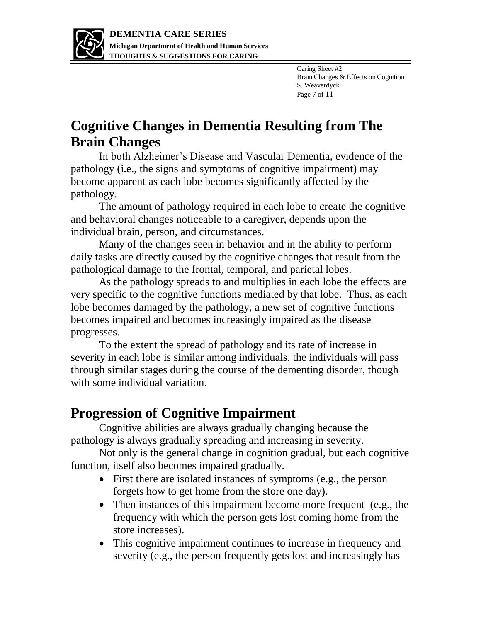

Caring Sheet #2 Brain Changes & Effects on Cognition S. Weaverdyck Page 7 of 11

# **Cognitive Changes in Dementia Resulting from The Brain Changes**

In both Alzheimer's Disease and Vascular Dementia, evidence of the pathology (i.e., the signs and symptoms of cognitive impairment) may become apparent as each lobe becomes significantly affected by the pathology.

The amount of pathology required in each lobe to create the cognitive and behavioral changes noticeable to a caregiver, depends upon the individual brain, person, and circumstances.

Many of the changes seen in behavior and in the ability to perform daily tasks are directly caused by the cognitive changes that result from the pathological damage to the frontal, temporal, and parietal lobes.

As the pathology spreads to and multiplies in each lobe the effects are very specific to the cognitive functions mediated by that lobe. Thus, as each lobe becomes damaged by the pathology, a new set of cognitive functions becomes impaired and becomes increasingly impaired as the disease progresses.

To the extent the spread of pathology and its rate of increase in severity in each lobe is similar among individuals, the individuals will pass through similar stages during the course of the dementing disorder, though with some individual variation.

#### **Progression of Cognitive Impairment**

Cognitive abilities are always gradually changing because the pathology is always gradually spreading and increasing in severity.

Not only is the general change in cognition gradual, but each cognitive function, itself also becomes impaired gradually.

- First there are isolated instances of symptoms (e.g., the person forgets how to get home from the store one day).
- Then instances of this impairment become more frequent (e.g., the frequency with which the person gets lost coming home from the store increases).
- This cognitive impairment continues to increase in frequency and severity (e.g., the person frequently gets lost and increasingly has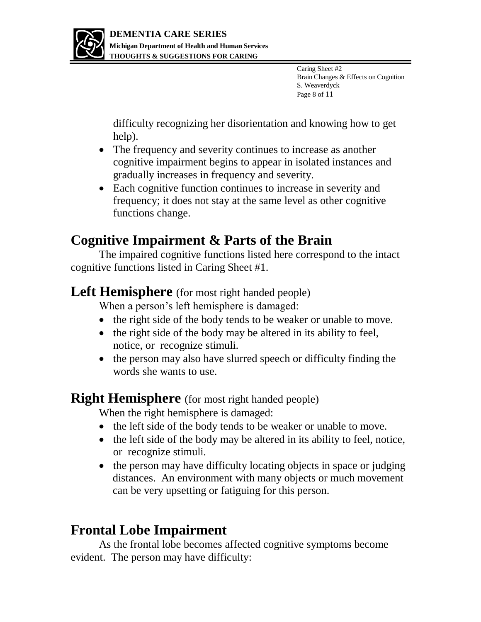

Caring Sheet #2 Brain Changes & Effects on Cognition S. Weaverdyck Page 8 of 11

difficulty recognizing her disorientation and knowing how to get help).

- The frequency and severity continues to increase as another cognitive impairment begins to appear in isolated instances and gradually increases in frequency and severity.
- Each cognitive function continues to increase in severity and frequency; it does not stay at the same level as other cognitive functions change.

# **Cognitive Impairment & Parts of the Brain**

The impaired cognitive functions listed here correspond to the intact cognitive functions listed in Caring Sheet #1.

#### Left Hemisphere (for most right handed people)

When a person's left hemisphere is damaged:

- the right side of the body tends to be weaker or unable to move.
- the right side of the body may be altered in its ability to feel, notice, or recognize stimuli.
- the person may also have slurred speech or difficulty finding the words she wants to use.

#### **Right Hemisphere** (for most right handed people)

When the right hemisphere is damaged:

- the left side of the body tends to be weaker or unable to move.
- the left side of the body may be altered in its ability to feel, notice, or recognize stimuli.
- the person may have difficulty locating objects in space or judging distances. An environment with many objects or much movement can be very upsetting or fatiguing for this person.

# **Frontal Lobe Impairment**

As the frontal lobe becomes affected cognitive symptoms become evident. The person may have difficulty: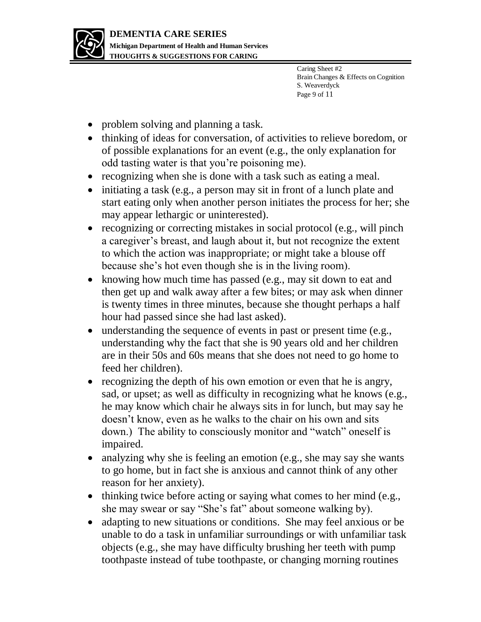

Caring Sheet #2 Brain Changes & Effects on Cognition S. Weaverdyck Page 9 of 11

- problem solving and planning a task.
- thinking of ideas for conversation, of activities to relieve boredom, or of possible explanations for an event (e.g., the only explanation for odd tasting water is that you're poisoning me).
- recognizing when she is done with a task such as eating a meal.
- initiating a task (e.g., a person may sit in front of a lunch plate and start eating only when another person initiates the process for her; she may appear lethargic or uninterested).
- recognizing or correcting mistakes in social protocol (e.g., will pinch a caregiver's breast, and laugh about it, but not recognize the extent to which the action was inappropriate; or might take a blouse off because she's hot even though she is in the living room).
- knowing how much time has passed (e.g., may sit down to eat and then get up and walk away after a few bites; or may ask when dinner is twenty times in three minutes, because she thought perhaps a half hour had passed since she had last asked).
- understanding the sequence of events in past or present time (e.g., understanding why the fact that she is 90 years old and her children are in their 50s and 60s means that she does not need to go home to feed her children).
- recognizing the depth of his own emotion or even that he is angry, sad, or upset; as well as difficulty in recognizing what he knows (e.g., he may know which chair he always sits in for lunch, but may say he doesn't know, even as he walks to the chair on his own and sits down.) The ability to consciously monitor and "watch" oneself is impaired.
- analyzing why she is feeling an emotion (e.g., she may say she wants to go home, but in fact she is anxious and cannot think of any other reason for her anxiety).
- thinking twice before acting or saying what comes to her mind (e.g., she may swear or say "She's fat" about someone walking by).
- adapting to new situations or conditions. She may feel anxious or be unable to do a task in unfamiliar surroundings or with unfamiliar task objects (e.g., she may have difficulty brushing her teeth with pump toothpaste instead of tube toothpaste, or changing morning routines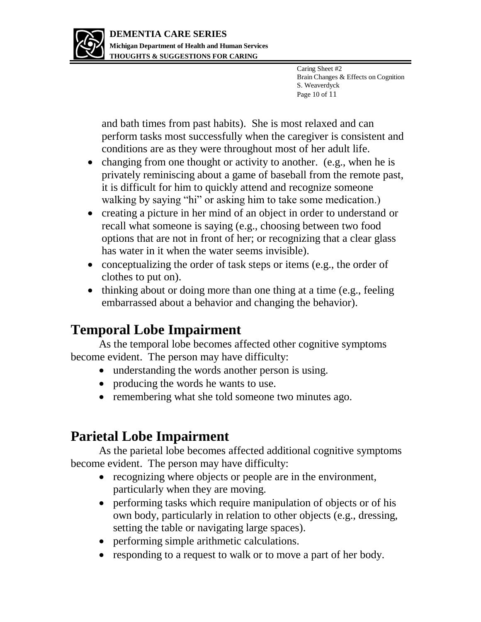

Caring Sheet #2 Brain Changes & Effects on Cognition S. Weaverdyck Page 10 of 11

and bath times from past habits). She is most relaxed and can perform tasks most successfully when the caregiver is consistent and conditions are as they were throughout most of her adult life.

- changing from one thought or activity to another. (e.g., when he is privately reminiscing about a game of baseball from the remote past, it is difficult for him to quickly attend and recognize someone walking by saying "hi" or asking him to take some medication.)
- creating a picture in her mind of an object in order to understand or recall what someone is saying (e.g., choosing between two food options that are not in front of her; or recognizing that a clear glass has water in it when the water seems invisible).
- conceptualizing the order of task steps or items (e.g., the order of clothes to put on).
- thinking about or doing more than one thing at a time (e.g., feeling embarrassed about a behavior and changing the behavior).

# **Temporal Lobe Impairment**

As the temporal lobe becomes affected other cognitive symptoms become evident. The person may have difficulty:

- understanding the words another person is using.
- producing the words he wants to use.
- remembering what she told someone two minutes ago.

# **Parietal Lobe Impairment**

As the parietal lobe becomes affected additional cognitive symptoms become evident. The person may have difficulty:

- recognizing where objects or people are in the environment, particularly when they are moving.
- performing tasks which require manipulation of objects or of his own body, particularly in relation to other objects (e.g., dressing, setting the table or navigating large spaces).
- performing simple arithmetic calculations.
- responding to a request to walk or to move a part of her body.